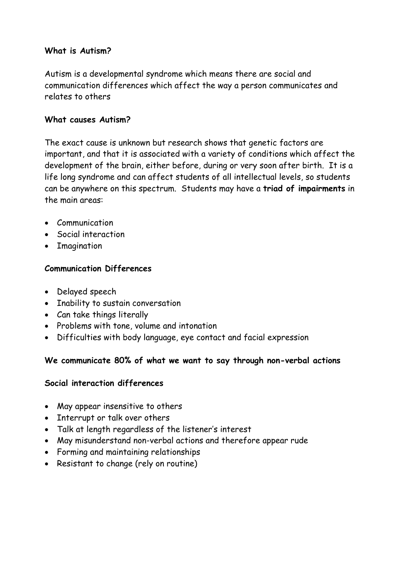#### **What is Autism?**

Autism is a developmental syndrome which means there are social and communication differences which affect the way a person communicates and relates to others

#### **What causes Autism?**

The exact cause is unknown but research shows that genetic factors are important, and that it is associated with a variety of conditions which affect the development of the brain, either before, during or very soon after birth. It is a life long syndrome and can affect students of all intellectual levels, so students can be anywhere on this spectrum. Students may have a **triad of impairments** in the main areas:

- Communication
- Social interaction
- **•** Imagination

## **Communication Differences**

- Delayed speech
- Inability to sustain conversation
- Can take things literally
- Problems with tone, volume and intonation
- Difficulties with body language, eye contact and facial expression

## **We communicate 80% of what we want to say through non-verbal actions**

## **Social interaction differences**

- May appear insensitive to others
- Interrupt or talk over others
- Talk at length regardless of the listener's interest
- May misunderstand non-verbal actions and therefore appear rude
- Forming and maintaining relationships
- Resistant to change (rely on routine)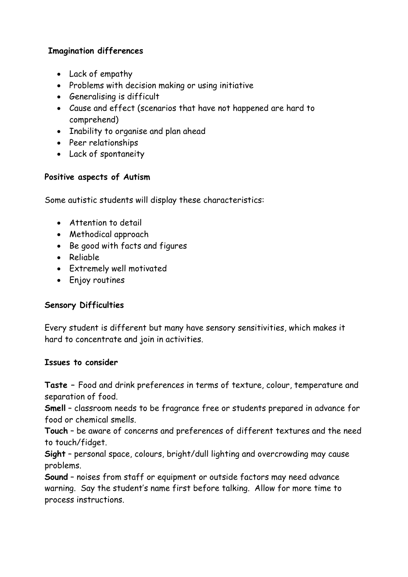#### **Imagination differences**

- Lack of empathy
- Problems with decision making or using initiative
- Generalising is difficult
- Cause and effect (scenarios that have not happened are hard to comprehend)
- Inability to organise and plan ahead
- Peer relationships
- Lack of spontaneity

#### **Positive aspects of Autism**

Some autistic students will display these characteristics:

- Attention to detail
- Methodical approach
- Be good with facts and figures
- Reliable
- Extremely well motivated
- Enjoy routines

## **Sensory Difficulties**

Every student is different but many have sensory sensitivities, which makes it hard to concentrate and join in activities.

#### **Issues to consider**

**Taste –** Food and drink preferences in terms of texture, colour, temperature and separation of food.

**Smell** – classroom needs to be fragrance free or students prepared in advance for food or chemical smells.

**Touch** – be aware of concerns and preferences of different textures and the need to touch/fidget.

**Sight** – personal space, colours, bright/dull lighting and overcrowding may cause problems.

**Sound** – noises from staff or equipment or outside factors may need advance warning. Say the student's name first before talking. Allow for more time to process instructions.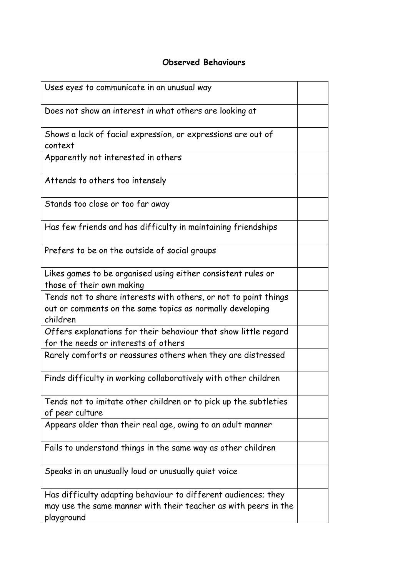#### **Observed Behaviours**

| Uses eyes to communicate in an unusual way                                                                                                      |  |
|-------------------------------------------------------------------------------------------------------------------------------------------------|--|
| Does not show an interest in what others are looking at                                                                                         |  |
| Shows a lack of facial expression, or expressions are out of<br>context                                                                         |  |
| Apparently not interested in others                                                                                                             |  |
| Attends to others too intensely                                                                                                                 |  |
| Stands too close or too far away                                                                                                                |  |
| Has few friends and has difficulty in maintaining friendships                                                                                   |  |
| Prefers to be on the outside of social groups                                                                                                   |  |
| Likes games to be organised using either consistent rules or<br>those of their own making                                                       |  |
| Tends not to share interests with others, or not to point things<br>out or comments on the same topics as normally developing<br>children       |  |
| Offers explanations for their behaviour that show little regard<br>for the needs or interests of others                                         |  |
| Rarely comforts or reassures others when they are distressed                                                                                    |  |
| Finds difficulty in working collaboratively with other children                                                                                 |  |
| Tends not to imitate other children or to pick up the subtleties<br>of peer culture                                                             |  |
| Appears older than their real age, owing to an adult manner                                                                                     |  |
| Fails to understand things in the same way as other children                                                                                    |  |
| Speaks in an unusually loud or unusually quiet voice                                                                                            |  |
| Has difficulty adapting behaviour to different audiences; they<br>may use the same manner with their teacher as with peers in the<br>playground |  |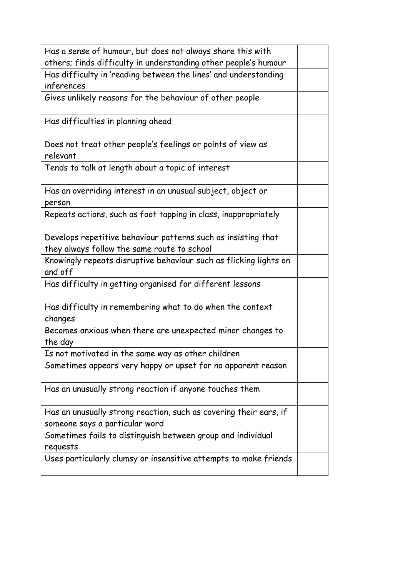| Has a sense of humour, but does not always share this with                                          |  |  |
|-----------------------------------------------------------------------------------------------------|--|--|
| others; finds difficulty in understanding other people's humour                                     |  |  |
| Has difficulty in 'reading between the lines' and understanding                                     |  |  |
| inferences                                                                                          |  |  |
| Gives unlikely reasons for the behaviour of other people                                            |  |  |
| Has difficulties in planning ahead                                                                  |  |  |
| Does not treat other people's feelings or points of view as<br>relevant                             |  |  |
| Tends to talk at length about a topic of interest                                                   |  |  |
| Has an overriding interest in an unusual subject, object or<br>person                               |  |  |
| Repeats actions, such as foot tapping in class, inappropriately                                     |  |  |
| Develops repetitive behaviour patterns such as insisting that                                       |  |  |
| they always follow the same route to school                                                         |  |  |
| Knowingly repeats disruptive behaviour such as flicking lights on<br>and off                        |  |  |
| Has difficulty in getting organised for different lessons                                           |  |  |
| Has difficulty in remembering what to do when the context<br>changes                                |  |  |
| Becomes anxious when there are unexpected minor changes to<br>the day                               |  |  |
| Is not motivated in the same way as other children                                                  |  |  |
| Sometimes appears very happy or upset for no apparent reason                                        |  |  |
| Has an unusually strong reaction if anyone touches them                                             |  |  |
| Has an unusually strong reaction, such as covering their ears, if<br>someone says a particular word |  |  |
| Sometimes fails to distinguish between group and individual<br>requests                             |  |  |
| Uses particularly clumsy or insensitive attempts to make friends                                    |  |  |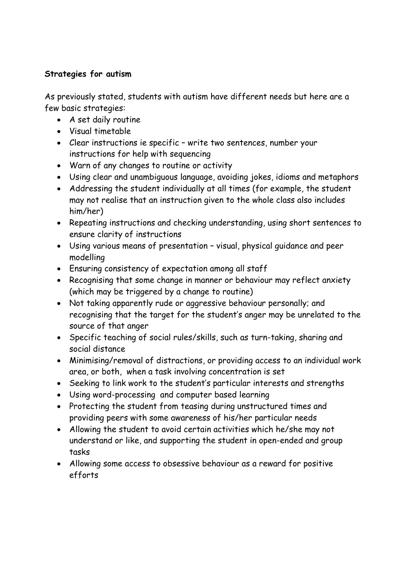#### **Strategies for autism**

As previously stated, students with autism have different needs but here are a few basic strategies:

- A set daily routine
- Visual timetable
- Clear instructions ie specific write two sentences, number your instructions for help with sequencing
- Warn of any changes to routine or activity
- Using clear and unambiguous language, avoiding jokes, idioms and metaphors
- Addressing the student individually at all times (for example, the student may not realise that an instruction given to the whole class also includes him/her)
- Repeating instructions and checking understanding, using short sentences to ensure clarity of instructions
- Using various means of presentation visual, physical guidance and peer modelling
- Ensuring consistency of expectation among all staff
- Recognising that some change in manner or behaviour may reflect anxiety (which may be triggered by a change to routine)
- Not taking apparently rude or aggressive behaviour personally; and recognising that the target for the student's anger may be unrelated to the source of that anger
- Specific teaching of social rules/skills, such as turn-taking, sharing and social distance
- Minimising/removal of distractions, or providing access to an individual work area, or both, when a task involving concentration is set
- Seeking to link work to the student's particular interests and strengths
- Using word-processing and computer based learning
- Protecting the student from teasing during unstructured times and providing peers with some awareness of his/her particular needs
- Allowing the student to avoid certain activities which he/she may not understand or like, and supporting the student in open-ended and group tasks
- Allowing some access to obsessive behaviour as a reward for positive efforts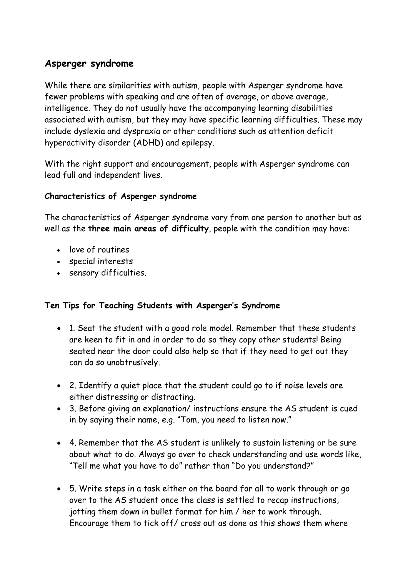# **Asperger syndrome**

While there are similarities with autism, people with Asperger syndrome have fewer problems with speaking and are often of average, or above average, intelligence. They do not usually have the accompanying learning disabilities associated with autism, but they may have specific learning difficulties. These may include dyslexia and dyspraxia or other conditions such as attention deficit hyperactivity disorder (ADHD) and epilepsy.

With the right support and encouragement, people with Asperger syndrome can lead full and independent lives.

#### **Characteristics of Asperger syndrome**

The characteristics of Asperger syndrome vary from one person to another but as well as the **three main areas of difficulty**, people with the condition may have:

- love of routines
- special interests
- sensory difficulties.

#### **Ten Tips for Teaching Students with Asperger's Syndrome**

- 1. Seat the student with a good role model. Remember that these students are keen to fit in and in order to do so they copy other students! Being seated near the door could also help so that if they need to get out they can do so unobtrusively.
- 2. Identify a quiet place that the student could go to if noise levels are either distressing or distracting.
- 3. Before giving an explanation/ instructions ensure the AS student is cued in by saying their name, e.g. "Tom, you need to listen now."
- 4. Remember that the AS student is unlikely to sustain listening or be sure about what to do. Always go over to check understanding and use words like, "Tell me what you have to do" rather than "Do you understand?"
- 5. Write steps in a task either on the board for all to work through or go over to the AS student once the class is settled to recap instructions, jotting them down in bullet format for him / her to work through. Encourage them to tick off/ cross out as done as this shows them where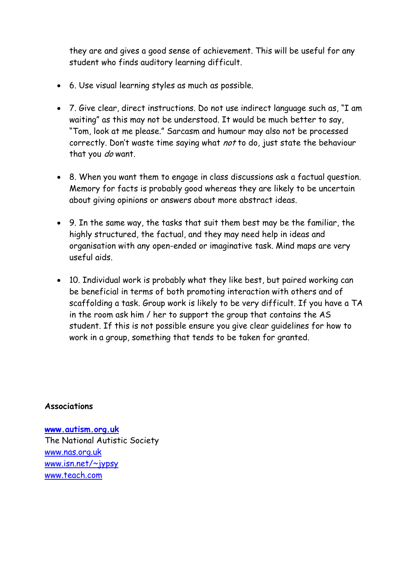they are and gives a good sense of achievement. This will be useful for any student who finds auditory learning difficult.

- 6. Use visual learning styles as much as possible.
- 7. Give clear, direct instructions. Do not use indirect language such as, "I am waiting" as this may not be understood. It would be much better to say, "Tom, look at me please." Sarcasm and humour may also not be processed correctly. Don't waste time saying what not to do, just state the behaviour that you do want.
- 8. When you want them to engage in class discussions ask a factual question. Memory for facts is probably good whereas they are likely to be uncertain about giving opinions or answers about more abstract ideas.
- 9. In the same way, the tasks that suit them best may be the familiar, the highly structured, the factual, and they may need help in ideas and organisation with any open-ended or imaginative task. Mind maps are very useful aids.
- 10. Individual work is probably what they like best, but paired working can be beneficial in terms of both promoting interaction with others and of scaffolding a task. Group work is likely to be very difficult. If you have a TA in the room ask him / her to support the group that contains the AS student. If this is not possible ensure you give clear guidelines for how to work in a group, something that tends to be taken for granted.

#### **Associations**

**[www.autism.org.uk](http://www.autism.org.uk/)** The National Autistic Society [www.nas.org.uk](http://www.nas.org.uk/) [www.isn.net/~jypsy](http://www.isn.net/~jypsy) [www.teach.com](http://www.teach.com/)